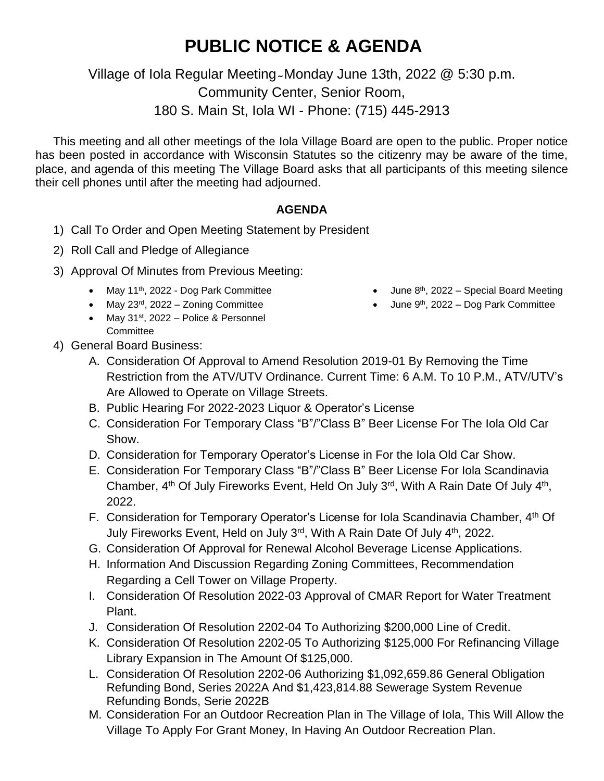## **PUBLIC NOTICE & AGENDA**

Village of Iola Regular Meeting Monday June 13th, 2022 @ 5:30 p.m.

Community Center, Senior Room,

180 S. Main St, Iola WI - Phone: (715) 445-2913

This meeting and all other meetings of the Iola Village Board are open to the public. Proper notice has been posted in accordance with Wisconsin Statutes so the citizenry may be aware of the time, place, and agenda of this meeting The Village Board asks that all participants of this meeting silence their cell phones until after the meeting had adjourned.

## **AGENDA**

- 1) Call To Order and Open Meeting Statement by President
- 2) Roll Call and Pledge of Allegiance
- 3) Approval Of Minutes from Previous Meeting:
	- May 11<sup>th</sup>, 2022 Dog Park Committee
	- May 23<sup>rd</sup>, 2022 Zoning Committee
	- May 31<sup>st</sup>, 2022 Police & Personnel **Committee**
- June  $8<sup>th</sup>$ , 2022 Special Board Meeting
- June 9<sup>th</sup>, 2022 Dog Park Committee

- 4) General Board Business:
	- A. Consideration Of Approval to Amend Resolution 2019-01 By Removing the Time Restriction from the ATV/UTV Ordinance. Current Time: 6 A.M. To 10 P.M., ATV/UTV's Are Allowed to Operate on Village Streets.
	- B. Public Hearing For 2022-2023 Liquor & Operator's License
	- C. Consideration For Temporary Class "B"/"Class B" Beer License For The Iola Old Car Show.
	- D. Consideration for Temporary Operator's License in For the Iola Old Car Show.
	- E. Consideration For Temporary Class "B"/"Class B" Beer License For Iola Scandinavia Chamber,  $4<sup>th</sup>$  Of July Fireworks Event, Held On July 3<sup>rd</sup>, With A Rain Date Of July  $4<sup>th</sup>$ , 2022.
	- F. Consideration for Temporary Operator's License for Iola Scandinavia Chamber, 4<sup>th</sup> Of July Fireworks Event, Held on July 3<sup>rd</sup>, With A Rain Date Of July 4<sup>th</sup>, 2022.
	- G. Consideration Of Approval for Renewal Alcohol Beverage License Applications.
	- H. Information And Discussion Regarding Zoning Committees, Recommendation Regarding a Cell Tower on Village Property.
	- I. Consideration Of Resolution 2022-03 Approval of CMAR Report for Water Treatment Plant.
	- J. Consideration Of Resolution 2202-04 To Authorizing \$200,000 Line of Credit.
	- K. Consideration Of Resolution 2202-05 To Authorizing \$125,000 For Refinancing Village Library Expansion in The Amount Of \$125,000.
	- L. Consideration Of Resolution 2202-06 Authorizing \$1,092,659.86 General Obligation Refunding Bond, Series 2022A And \$1,423,814.88 Sewerage System Revenue Refunding Bonds, Serie 2022B
	- M. Consideration For an Outdoor Recreation Plan in The Village of Iola, This Will Allow the Village To Apply For Grant Money, In Having An Outdoor Recreation Plan.